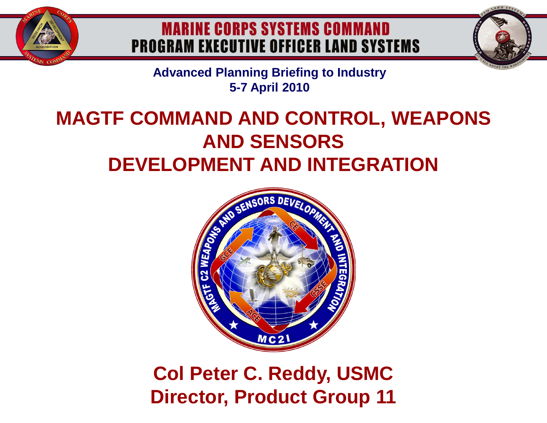

# **MARINE CORPS SYSTEMS COMMAND PROGRAM EXECUTIVE OFFICER LAND SYSTEMS**



**Advanced Planning Briefing to Industry 5-7 April 2010**

# **MAGTF COMMAND AND CONTROL, WEAPONS AND SENSORS DEVELOPMENT AND INTEGRATION**



# **Col Peter C. Reddy, USMC Director, Product Group 11**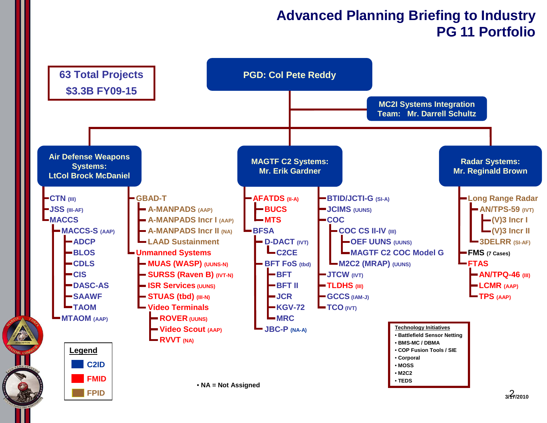### **Advanced Planning Briefing to Industry PG 11 Portfolio**

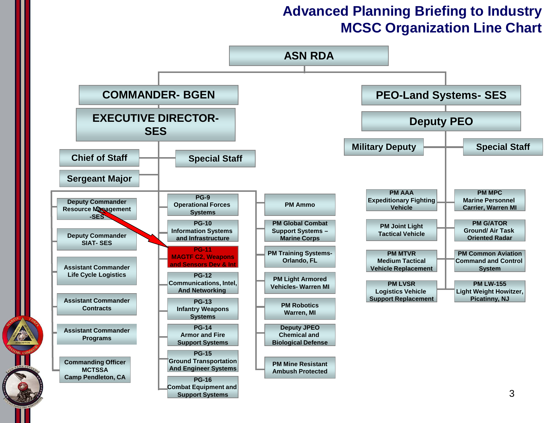### **Advanced Planning Briefing to Industry MCSC Organization Line Chart**

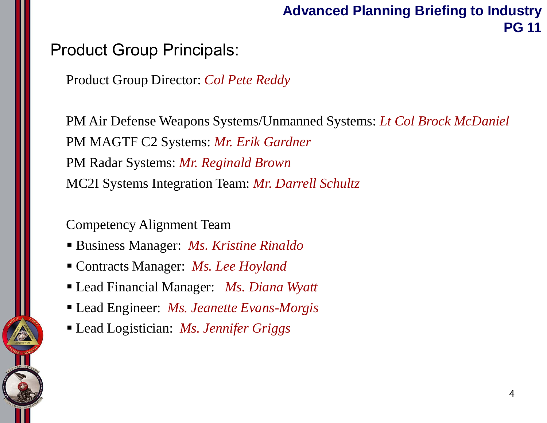## **Advanced Planning Briefing to Industry PG 11**

## Product Group Principals:

Product Group Director: *Col Pete Reddy*

PM Air Defense Weapons Systems/Unmanned Systems: *Lt Col Brock McDaniel* PM MAGTF C2 Systems: *Mr. Erik Gardner* PM Radar Systems: *Mr. Reginald Brown* MC2I Systems Integration Team: *Mr. Darrell Schultz*

Competency Alignment Team

- Business Manager: *Ms. Kristine Rinaldo*
- Contracts Manager: *Ms. Lee Hoyland*
- Lead Financial Manager: *Ms. Diana Wyatt*
- Lead Engineer: *Ms. Jeanette Evans-Morgis*
- Lead Logistician: *Ms. Jennifer Griggs*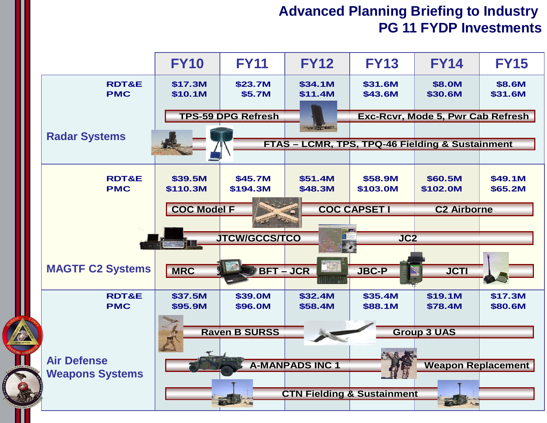#### **Advanced Planning Briefing to Industry PG 11 FYDP Investments**

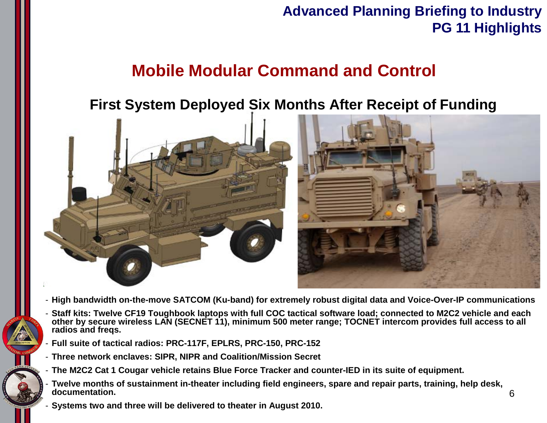## **Advanced Planning Briefing to Industry PG 11 Highlights**

# **Mobile Modular Command and Control**

## **First System Deployed Six Months After Receipt of Funding**



- **High bandwidth on-the-move SATCOM (Ku-band) for extremely robust digital data and Voice-Over-IP communications**
- **Staff kits: Twelve CF19 Toughbook laptops with full COC tactical software load; connected to M2C2 vehicle and each other by secure wireless LAN (SECNET 11), minimum 500 meter range; TOCNET intercom provides full access to all radios and freqs.**
- **Full suite of tactical radios: PRC-117F, EPLRS, PRC-150, PRC-152**
- **Three network enclaves: SIPR, NIPR and Coalition/Mission Secret**
- **The M2C2 Cat 1 Cougar vehicle retains Blue Force Tracker and counter-IED in its suite of equipment.**
- **Twelve months of sustainment in-theater including field engineers, spare and repair parts, training, help desk, documentation.**
- **Systems two and three will be delivered to theater in August 2010.**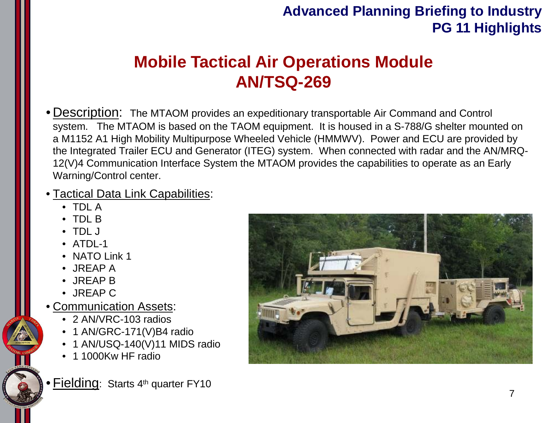## **Advanced Planning Briefing to Industry PG 11 Highlights**

# **Mobile Tactical Air Operations Module AN/TSQ-269**

• Description: The MTAOM provides an expeditionary transportable Air Command and Control system. The MTAOM is based on the TAOM equipment. It is housed in a S-788/G shelter mounted on a M1152 A1 High Mobility Multipurpose Wheeled Vehicle (HMMWV). Power and ECU are provided by the Integrated Trailer ECU and Generator (ITEG) system. When connected with radar and the AN/MRQ-12(V)4 Communication Interface System the MTAOM provides the capabilities to operate as an Early Warning/Control center.

#### • Tactical Data Link Capabilities:

- TDL A
- TDL B
- TDL J
- ATDL-1
- NATO Link 1
- JREAP A
- JREAP B
- JREAP C
- Communication Assets:
	- 2 AN/VRC-103 radios
	- 1 AN/GRC-171(V)B4 radio
	- 1 AN/USQ-140(V)11 MIDS radio
	- 1 1000Kw HF radio

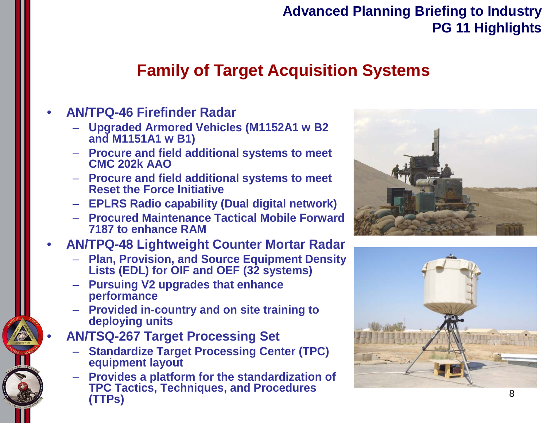## **Advanced Planning Briefing to Industry PG 11 Highlights**

# **Family of Target Acquisition Systems**

#### • **AN/TPQ-46 Firefinder Radar**

- **Upgraded Armored Vehicles (M1152A1 w B2 and M1151A1 w B1)**
- **Procure and field additional systems to meet CMC 202k AAO**
- **Procure and field additional systems to meet Reset the Force Initiative**
- **EPLRS Radio capability (Dual digital network)**
- **Procured Maintenance Tactical Mobile Forward 7187 to enhance RAM**

#### • **AN/TPQ-48 Lightweight Counter Mortar Radar**

- **Plan, Provision, and Source Equipment Density Lists (EDL) for OIF and OEF (32 systems)**
- **Pursuing V2 upgrades that enhance performance**
- **Provided in-country and on site training to deploying units**
- **AN/TSQ-267 Target Processing Set**
	- **Standardize Target Processing Center (TPC) equipment layout**
	- **Provides a platform for the standardization of TPC Tactics, Techniques, and Procedures (TTPs)**



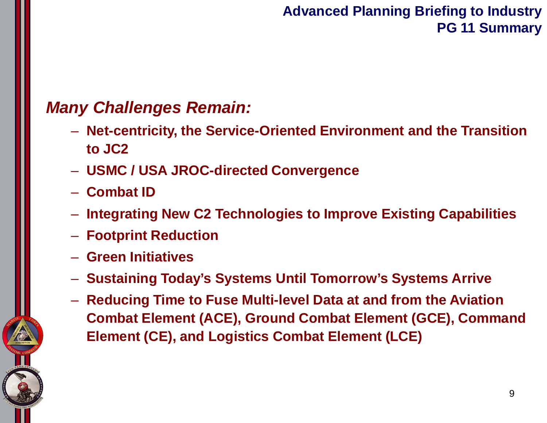## **Advanced Planning Briefing to Industry PG 11 Summary**

# *Many Challenges Remain:*

- **Net-centricity, the Service-Oriented Environment and the Transition to JC2**
- **USMC / USA JROC-directed Convergence**
- **Combat ID**
- **Integrating New C2 Technologies to Improve Existing Capabilities**
- **Footprint Reduction**
- **Green Initiatives**
- **Sustaining Today's Systems Until Tomorrow's Systems Arrive**
- **Reducing Time to Fuse Multi-level Data at and from the Aviation Combat Element (ACE), Ground Combat Element (GCE), Command Element (CE), and Logistics Combat Element (LCE)**